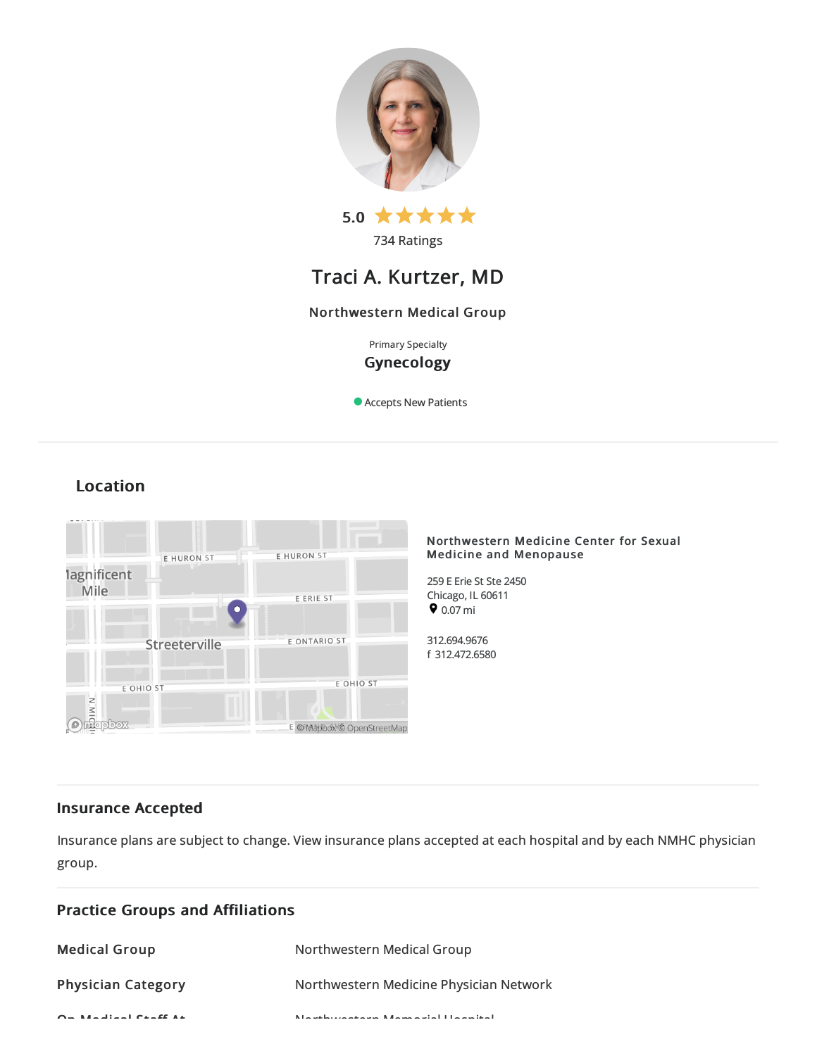

734 Ratings

# Traci A. Kurtzer, MD

## Northwestern Medical Group

Primary Specialty Gynecology

Accepts New Patients

# Location



## Insurance Accepted

Insurance plans are subject to change. View [insurance](https://www.nm.org/patients-and-visitors/billing-and-insurance/insurance-information/accepted-insurance-plans) plans accepted at each hospital and by each NMHC physician group.

| <b>Practice Groups and Affiliations</b> |                                                           |
|-----------------------------------------|-----------------------------------------------------------|
| <b>Medical Group</b>                    | Northwestern Medical Group                                |
| <b>Physician Category</b>               | Northwestern Medicine Physician Network                   |
| $Q = M + 1$ : $M = 1$ $Q + 1$ $Q + 1$   | March de la comparación de Marcha, esta la Halanca de all |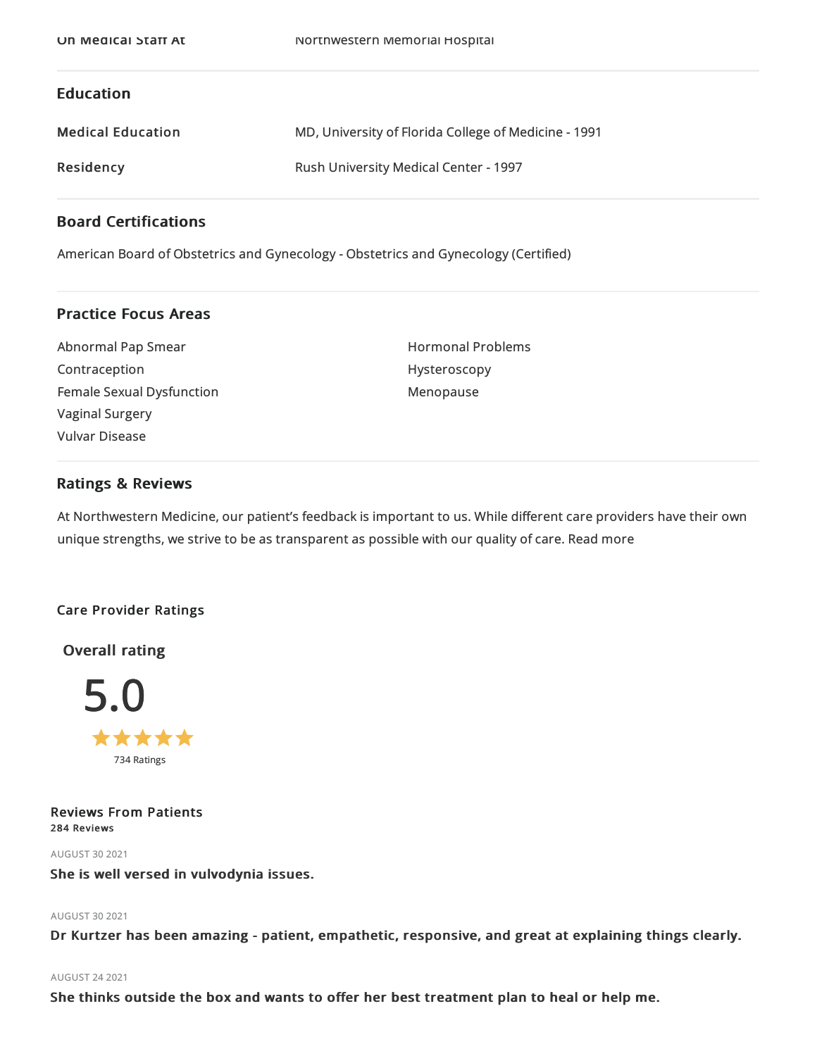## Education

| <b>Medical Education</b> | MD, University of Florida College of Medicine - 1991 |
|--------------------------|------------------------------------------------------|
| Residency                | <b>Rush University Medical Center - 1997</b>         |

## Board Certifications

American Board of Obstetrics and Gynecology - Obstetrics and Gynecology (Certified)

## Practice Focus Areas

| Abnormal Pap Smear        |
|---------------------------|
| Contraception             |
| Female Sexual Dysfunction |
| <b>Vaginal Surgery</b>    |
| Vulvar Disease            |

Hormonal Problems Hysteroscopy Menopause

## Ratings & Reviews

At Northwestern Medicine, our patient's feedback is important to us. While different care providers have their own unique strengths, we strive to be as transparent as possible with our quality of care. Read more

## Care Provider Ratings

Overall rating



Reviews From Patients 284 Reviews

AUGUST 302021

She is well versed in vulvodynia issues.

## AUGUST 302021

Dr Kurtzer has been amazing - patient, empathetic, responsive, and great at explaining things clearly.

## AUGUST 242021

She thinks outside the box and wants to offer her best treatment plan to heal or help me.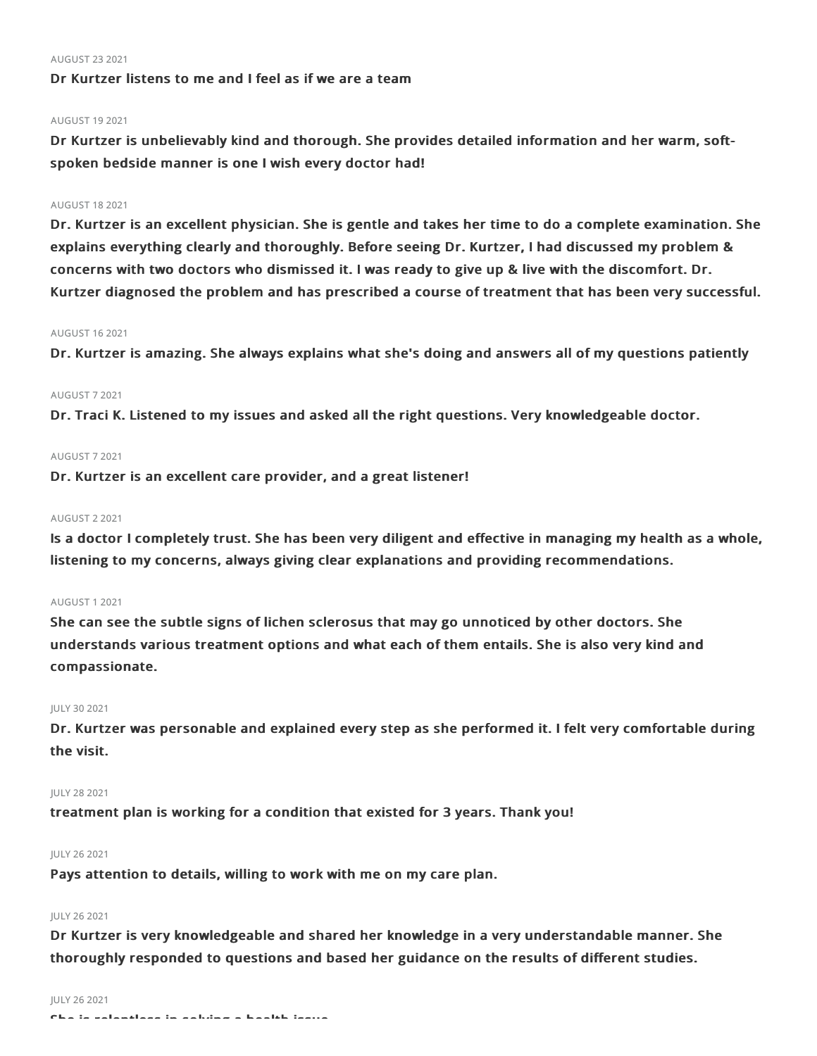### AUGUST 232021

## Dr Kurtzer listens to me and I feel as if we are a team

### AUGUST 192021

Dr Kurtzer is unbelievably kind and thorough. She provides detailed information and her warm, softspoken bedside manner is one I wish every doctor had!

## AUGUST 182021

Dr. Kurtzer is an excellent physician. She is gentle and takes her time to do a complete examination. She explains everything clearly and thoroughly. Before seeing Dr. Kurtzer, I had discussed my problem & concerns with two doctors who dismissed it. I was ready to give up & live with the discomfort. Dr. Kurtzer diagnosed the problem and has prescribed a course of treatment that has been very successful.

### AUGUST 162021

Dr. Kurtzer is amazing. She always explains what she's doing and answers all of my questions patiently

## AUGUST 72021

Dr. Traci K. Listened to my issues and asked all the right questions. Very knowledgeable doctor.

### AUGUST 72021

Dr. Kurtzer is an excellent care provider, and a great listener!

### AUGUST 22021

Is a doctor I completely trust. She has been very diligent and effective in managing my health as a whole, listening to my concerns, always giving clear explanations and providing recommendations.

### AUGUST 12021

She can see the subtle signs of lichen sclerosus that may go unnoticed by other doctors. She understands various treatment options and what each of them entails. She is also very kind and compassionate.

## JULY 302021

Dr. Kurtzer was personable and explained every step as she performed it. I felt very comfortable during the visit.

#### JULY 282021

treatment plan is working for a condition that existed for 3 years. Thank you!

#### JULY 262021

Pays attention to details, willing to work with me on my care plan.

## JULY 262021

Dr Kurtzer is very knowledgeable and shared her knowledge in a very understandable manner. She thoroughly responded to questions and based her guidance on the results of different studies.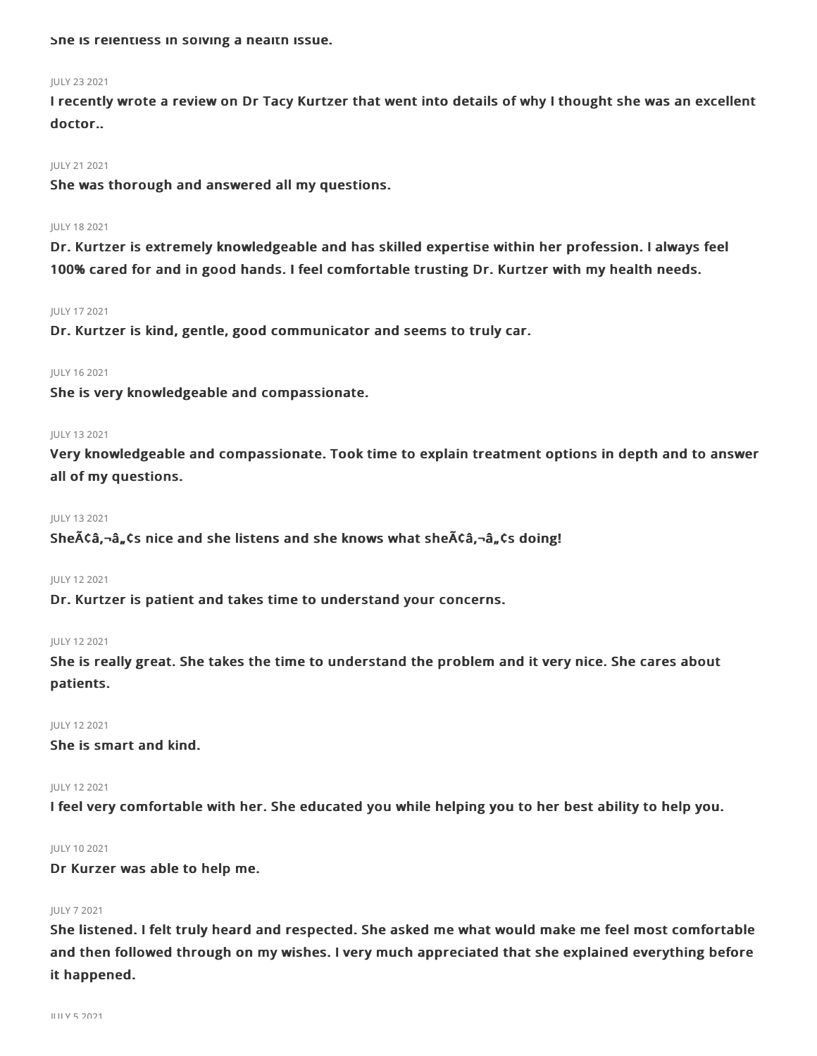She is relentless in solving a health issue.

## JULY 232021

I recently wrote a review on Dr Tacy Kurtzer that went into details of why I thought she was an excellent doctor..

#### JULY 212021

She was thorough and answered all my questions.

#### JULY 182021

Dr. Kurtzer is extremely knowledgeable and has skilled expertise within her profession. I always feel 100% cared for and in good hands. I feel comfortable trusting Dr. Kurtzer with my health needs.

#### JULY 172021

Dr. Kurtzer is kind, gentle, good communicator and seems to truly car.

### JULY 162021

She is very knowledgeable and compassionate.

## JULY 132021

Very knowledgeable and compassionate. Took time to explain treatment options in depth and to answer all of my questions.

#### JULY 132021

She $\tilde{A}$ Ca, $\tilde{a}_n$ Cs nice and she listens and she knows what she $\tilde{A}$ Ca, $\tilde{a}_n$ Cs doing!

## JULY 122021

Dr. Kurtzer is patient and takes time to understand your concerns.

#### JULY 122021

She is really great. She takes the time to understand the problem and it very nice. She cares about patients.

## JULY 122021

She is smart and kind.

## JULY 122021

I feel very comfortable with her. She educated you while helping you to her best ability to help you.

### JULY 102021

Dr Kurzer was able to help me.

## JULY 72021

She listened. I felt truly heard and respected. She asked me what would make me feel most comfortable and then followed through on my wishes. I very much appreciated that she explained everything before it happened.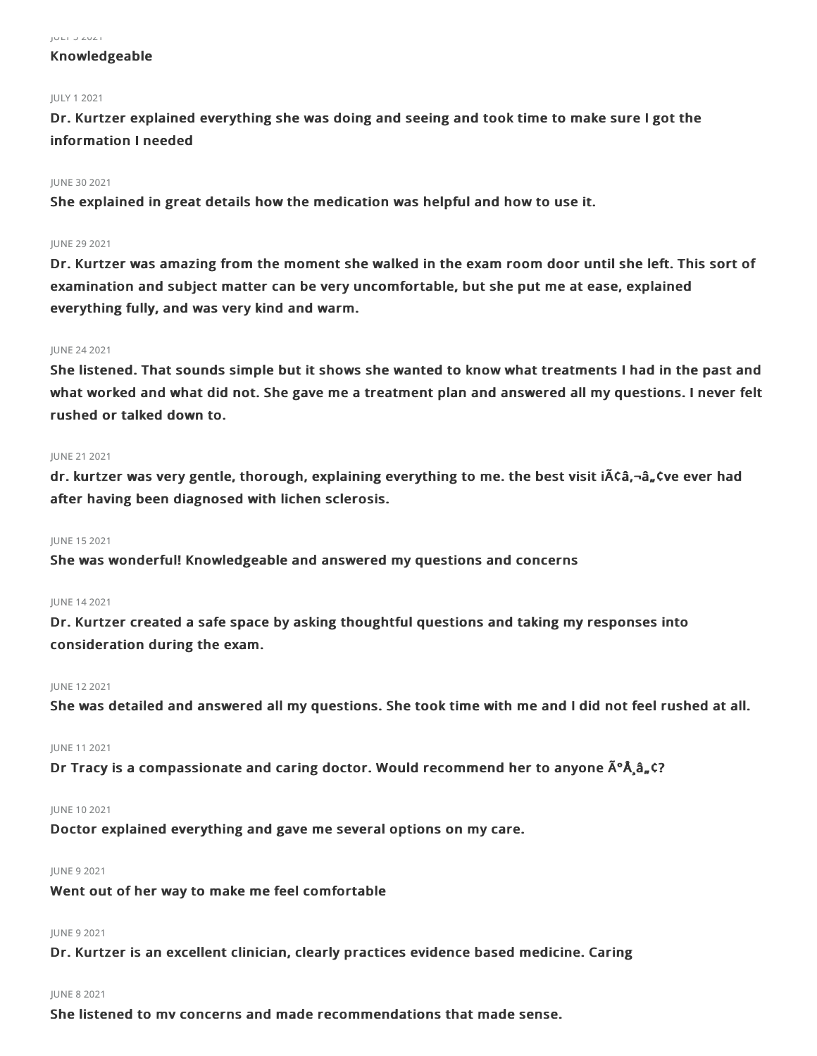#### $JU = I \cup ZUZ$

## Knowledgeable

## JULY 12021

Dr. Kurtzer explained everything she was doing and seeing and took time to make sure I got the information I needed

## JUNE 30 2021

She explained in great details how the medication was helpful and how to use it.

## JUNE 29 2021

Dr. Kurtzer was amazing from the moment she walked in the exam room door until she left. This sort of examination and subject matter can be very uncomfortable, but she put me at ease, explained everything fully, and was very kind and warm.

## JUNE 242021

She listened. That sounds simple but it shows she wanted to know what treatments I had in the past and what worked and what did not. She gave me a treatment plan and answered all my questions. I never felt rushed or talked down to.

## JUNE 212021

dr. kurtzer was very gentle, thorough, explaining everything to me. the best visit iââ,¬â"¢ve ever had after having been diagnosed with lichen sclerosis.

## JUNE 152021

She was wonderful! Knowledgeable and answered my questions and concerns

## JUNE 142021

Dr. Kurtzer created a safe space by asking thoughtful questions and taking my responses into consideration during the exam.

## JUNE 122021

She was detailed and answered all my questions. She took time with me and I did not feel rushed at all.

## JUNE 112021

Dr Tracy is a compassionate and caring doctor. Would recommend her to anyone  $\tilde{A}^{\circ} \tilde{A}$ ,  $\tilde{a}$ ,  $\tilde{C}$ ?

## JUNE 102021

Doctor explained everything and gave me several options on my care.

## JUNE 92021

Went out of her way to make me feel comfortable

## JUNE 92021

Dr. Kurtzer is an excellent clinician, clearly practices evidence based medicine. Caring

## JUNE 82021

She listened to my concerns and made recommendations that made sense.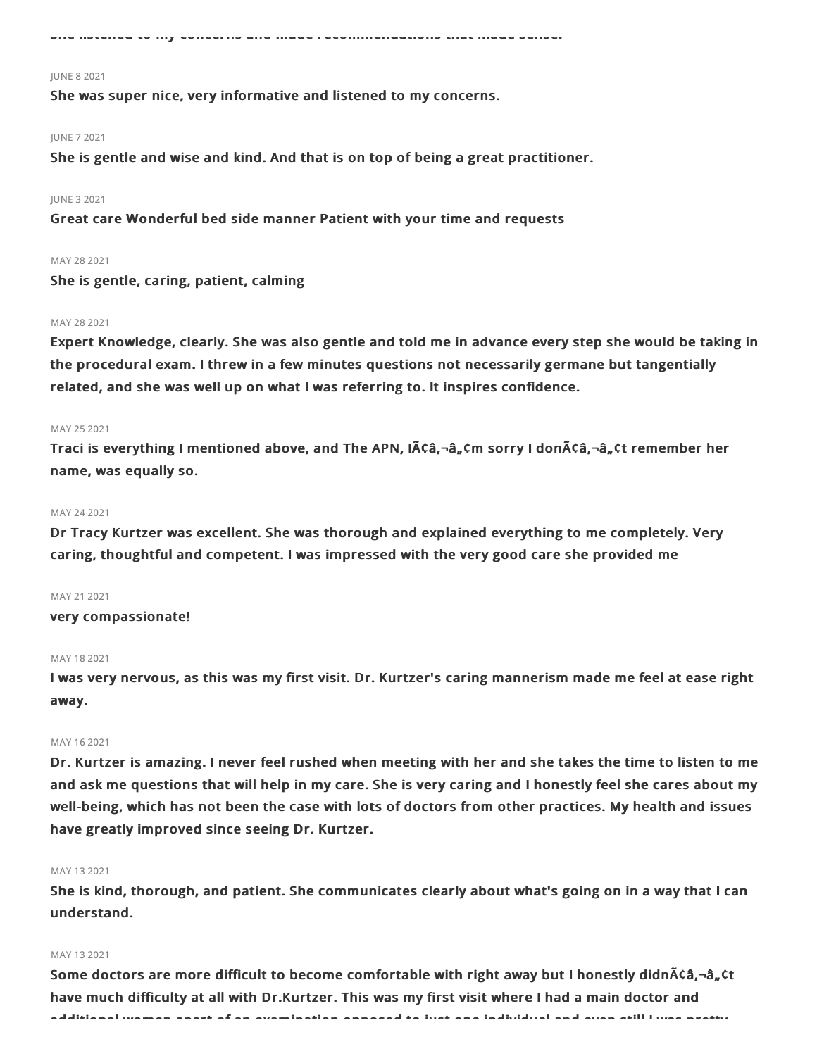She listened to my concerns and made recommendations that made sense.

#### JUNE 82021

She was super nice, very informative and listened to my concerns.

## JUNE 72021

She is gentle and wise and kind. And that is on top of being a great practitioner.

## JUNE 32021

Great care Wonderful bed side manner Patient with your time and requests

## MAY 282021

She is gentle, caring, patient, calming

## MAY 282021

Expert Knowledge, clearly. She was also gentle and told me in advance every step she would be taking in the procedural exam. I threw in a few minutes questions not necessarily germane but tangentially related, and she was well up on what I was referring to. It inspires confidence.

#### MAY 25 2021

Traci is everything I mentioned above, and The APN,  $\tilde{A}$   $\tilde{C}$   $\tilde{A}$   $\tilde{C}$   $\tilde{A}$  and  $\tilde{A}$  and  $\tilde{A}$   $\tilde{C}$  and  $\tilde{A}$   $\tilde{C}$  and  $\tilde{A}$   $\tilde{C}$  and  $\tilde{A}$   $\tilde{C}$   $\tilde{A}$   $\tilde{A}$   $\tilde{$ name, was equally so.

#### MAY 24 2021

Dr Tracy Kurtzer was excellent. She was thorough and explained everything to me completely. Very caring, thoughtful and competent. I was impressed with the very good care she provided me

### MAY 21 2021

very compassionate!

#### MAY 18 2021

I was very nervous, as this was my first visit. Dr. Kurtzer's caring mannerism made me feel at ease right away.

## MAY 162021

Dr. Kurtzer is amazing. I never feel rushed when meeting with her and she takes the time to listen to me and ask me questions that will help in my care. She is very caring and I honestly feel she cares about my well-being, which has not been the case with lots of doctors from other practices. My health and issues have greatly improved since seeing Dr. Kurtzer.

#### MAY 13 2021

She is kind, thorough, and patient. She communicates clearly about what's going on in a way that I can understand.

## MAY 132021

Some doctors are more difficult to become comfortable with right away but I honestly didnA¢â,-â"¢t have much difficulty at all with Dr.Kurtzer. This was my first visit where I had a main doctor and additional women apart of an examination opposed to just one individual and even still I was pretty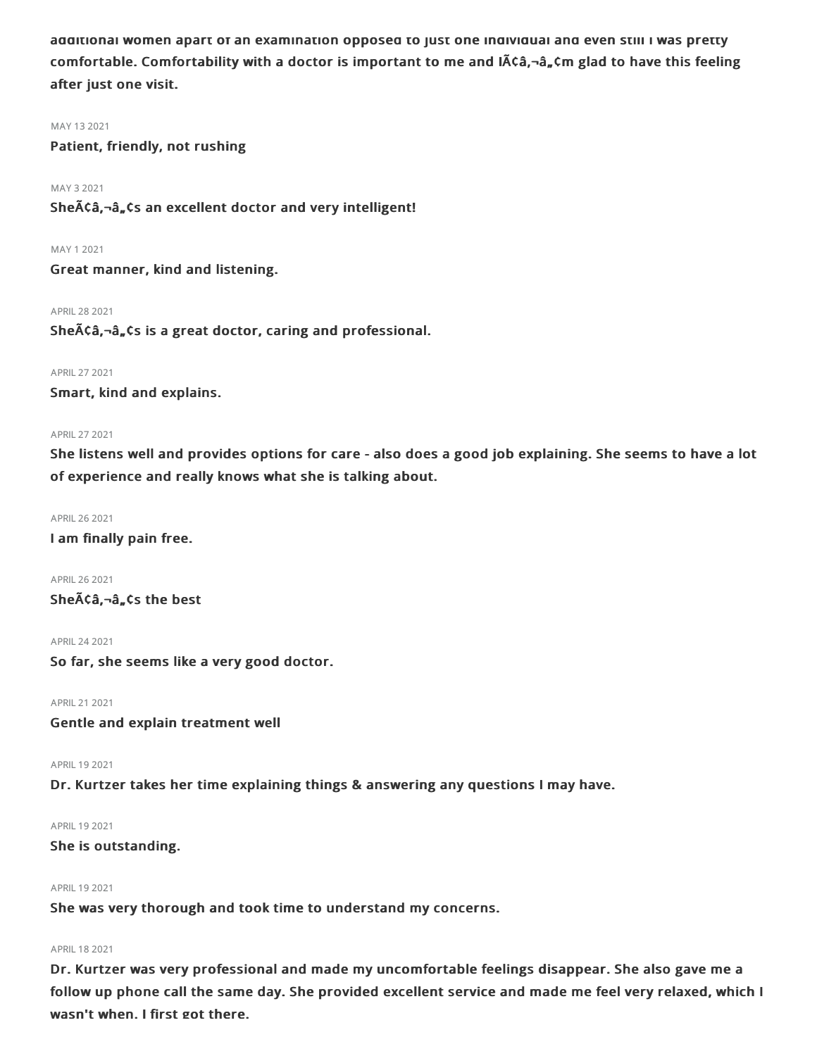additional women apart of an examination opposed to just one individual and even still I was pretty comfortable. Comfortability with a doctor is important to me and  $\tilde{A}\tilde{c}\hat{a}$ ,  $-\hat{a}$ ,  $\zeta$ m glad to have this feeling after just one visit.

## MAY 132021

Patient, friendly, not rushing

## MAY 32021

She $\tilde{A}$ Ca, $\tilde{a}$ , $\tilde{a}$ , Cs an excellent doctor and very intelligent!

MAY 12021

Great manner, kind and listening.

APRIL282021

She $\tilde{A}$ Ca, $\neg$ a, $\tilde{a}$ , cs is a great doctor, caring and professional.

## APRIL272021

Smart, kind and explains.

## APRIL272021

She listens well and provides options for care - also does a good job explaining. She seems to have a lot of experience and really knows what she is talking about.

APRIL262021

I am finally pain free.

APRIL262021 Sheââ,¬â"¢s the best

APRIL242021

So far, she seems like a very good doctor.

APRIL212021 Gentle and explain treatment well

APRIL 19 2021

Dr. Kurtzer takes her time explaining things & answering any questions I may have.

APRIL 19 2021

## She is outstanding.

## APRIL 19 2021

She was very thorough and took time to understand my concerns.

#### APRIL 18 2021

Dr. Kurtzer was very professional and made my uncomfortable feelings disappear. She also gave me a follow up phone call the same day. She provided excellent service and made me feel very relaxed, which I wasn't when. I first got there.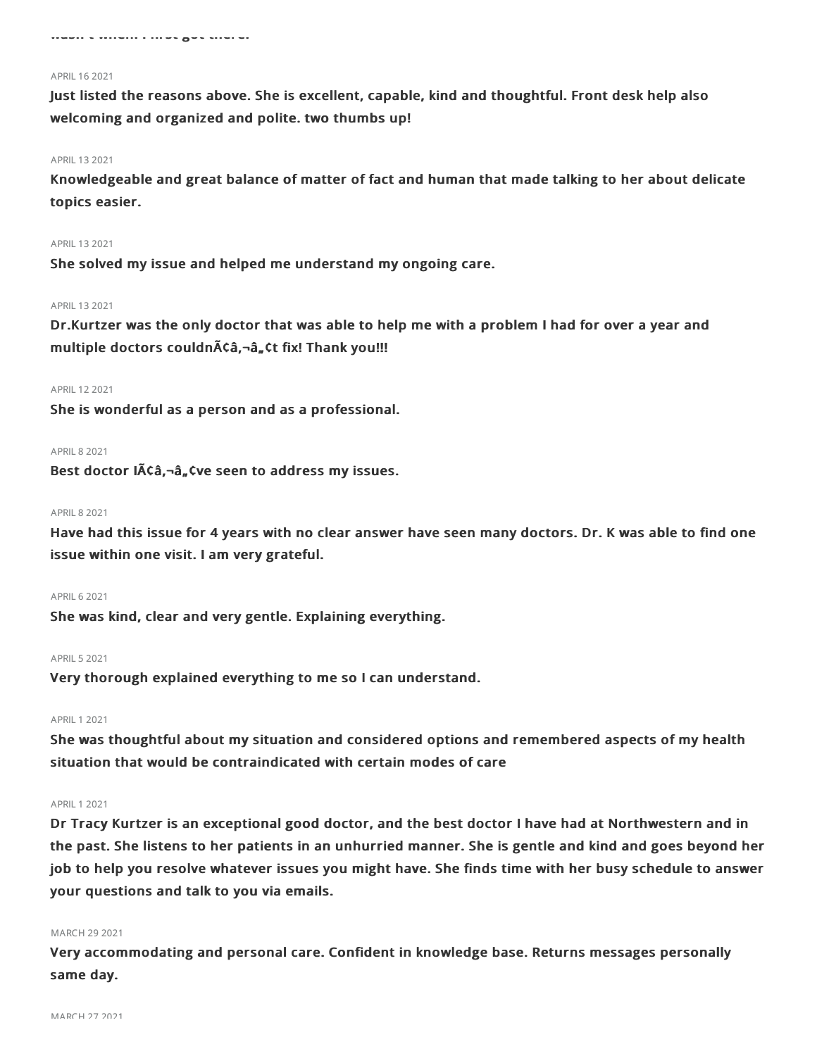#### APRIL 16 2021

Just listed the reasons above. She is excellent, capable, kind and thoughtful. Front desk help also welcoming and organized and polite. two thumbs up!

### APRIL 13 2021

Knowledgeable and great balance of matter of fact and human that made talking to her about delicate topics easier.

## APRIL 13 2021

She solved my issue and helped me understand my ongoing care.

#### APRIL 13 2021

Dr.Kurtzer was the only doctor that was able to help me with a problem I had for over a year and multiple doctors couldn $\tilde{A}$ Câ, -â, Ct fix! Thank you!!!

#### APRIL 12 2021

She is wonderful as a person and as a professional.

#### **APRIL 8 2021**

Best doctor  $I\tilde{A}\zeta\hat{a}$ ,  $\tilde{a}$ ,  $\zeta$  ve seen to address my issues.

#### APRIL82021

Have had this issue for 4 years with no clear answer have seen many doctors. Dr. K was able to find one issue within one visit. I am very grateful.

## APRIL62021

She was kind, clear and very gentle. Explaining everything.

## **APRIL 5 2021**

Very thorough explained everything to me so I can understand.

### APRIL 1 2021

She was thoughtful about my situation and considered options and remembered aspects of my health situation that would be contraindicated with certain modes of care

#### APRIL 1 2021

Dr Tracy Kurtzer is an exceptional good doctor, and the best doctor I have had at Northwestern and in the past. She listens to her patients in an unhurried manner. She is gentle and kind and goes beyond her job to help you resolve whatever issues you might have. She finds time with her busy schedule to answer your questions and talk to you via emails.

#### MARCH 29 2021

Very accommodating and personal care. Confident in knowledge base. Returns messages personally same day.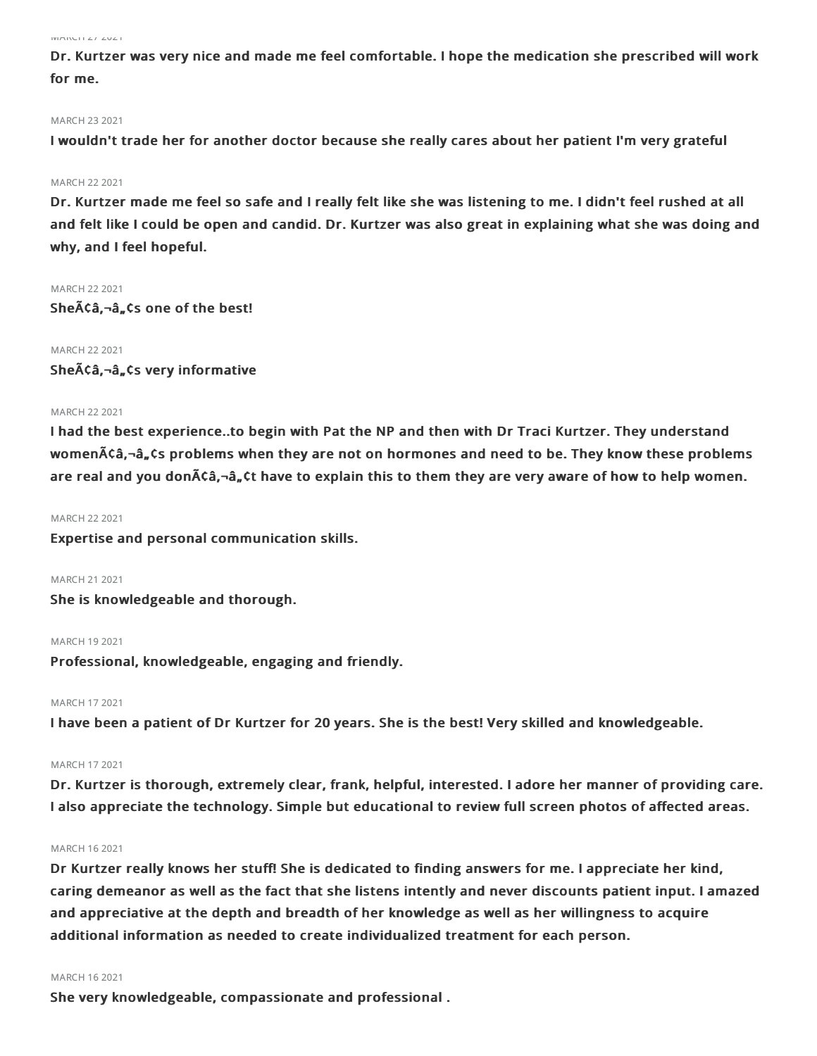#### $MATU = 12021$

Dr. Kurtzer was very nice and made me feel comfortable. I hope the medication she prescribed will work for me.

#### MARCH 232021

I wouldn't trade her for another doctor because she really cares about her patient I'm very grateful

## MARCH 22 2021

Dr. Kurtzer made me feel so safe and I really felt like she was listening to me. I didn't feel rushed at all and felt like I could be open and candid. Dr. Kurtzer was also great in explaining what she was doing and why, and I feel hopeful.

#### **MARCH 22 2021**

Sheââ,¬â"¢s one of the best!

## MARCH 22 2021

Sheââ,¬â"¢s very informative

## MARCH 22 2021

I had the best experience..to begin with Pat the NP and then with Dr Traci Kurtzer. They understand women $\tilde{A}$ câ,-â,  $\tilde{A}$ s problems when they are not on hormones and need to be. They know these problems are real and you don $\tilde{A}$ ca, $-\hat{a}$ ,  $\zeta$ t have to explain this to them they are very aware of how to help women.

### MARCH 222021

Expertise and personal communication skills.

## MARCH 21 2021

She is knowledgeable and thorough.

#### MARCH 192021

Professional, knowledgeable, engaging and friendly.

## MARCH 172021

I have been a patient of Dr Kurtzer for 20 years. She is the best! Very skilled and knowledgeable.

## MARCH 172021

Dr. Kurtzer is thorough, extremely clear, frank, helpful, interested. I adore her manner of providing care. I also appreciate the technology. Simple but educational to review full screen photos of affected areas.

### MARCH 162021

Dr Kurtzer really knows her stuff! She is dedicated to finding answers for me. I appreciate her kind, caring demeanor as well as the fact that she listens intently and never discounts patient input. I amazed and appreciative at the depth and breadth of her knowledge as well as her willingness to acquire additional information as needed to create individualized treatment for each person.

#### MARCH 162021

She very knowledgeable, compassionate and professional .